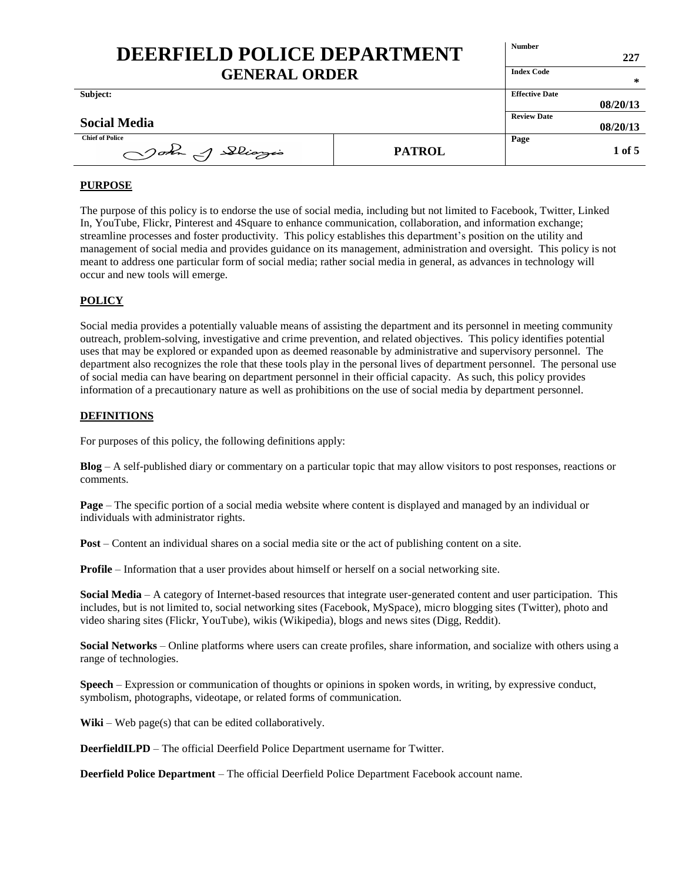| DEERFIELD POLICE DEPARTMENT<br><b>GENERAL ORDER</b> |               | <b>Number</b>         | 227      |
|-----------------------------------------------------|---------------|-----------------------|----------|
|                                                     |               | <b>Index Code</b>     | ∗        |
| Subject:                                            |               | <b>Effective Date</b> | 08/20/13 |
| <b>Social Media</b>                                 |               | <b>Review Date</b>    | 08/20/13 |
| <b>Chief of Police</b><br>John of Slingis           | <b>PATROL</b> | Page                  | 1 of 5   |

# **PURPOSE**

The purpose of this policy is to endorse the use of social media, including but not limited to Facebook, Twitter, Linked In, YouTube, Flickr, Pinterest and 4Square to enhance communication, collaboration, and information exchange; streamline processes and foster productivity. This policy establishes this department's position on the utility and management of social media and provides guidance on its management, administration and oversight. This policy is not meant to address one particular form of social media; rather social media in general, as advances in technology will occur and new tools will emerge.

# **POLICY**

Social media provides a potentially valuable means of assisting the department and its personnel in meeting community outreach, problem-solving, investigative and crime prevention, and related objectives. This policy identifies potential uses that may be explored or expanded upon as deemed reasonable by administrative and supervisory personnel. The department also recognizes the role that these tools play in the personal lives of department personnel. The personal use of social media can have bearing on department personnel in their official capacity. As such, this policy provides information of a precautionary nature as well as prohibitions on the use of social media by department personnel.

### **DEFINITIONS**

For purposes of this policy, the following definitions apply:

**Blog** – A self-published diary or commentary on a particular topic that may allow visitors to post responses, reactions or comments.

**Page** – The specific portion of a social media website where content is displayed and managed by an individual or individuals with administrator rights.

**Post** – Content an individual shares on a social media site or the act of publishing content on a site.

**Profile** – Information that a user provides about himself or herself on a social networking site.

**Social Media** – A category of Internet-based resources that integrate user-generated content and user participation. This includes, but is not limited to, social networking sites (Facebook, MySpace), micro blogging sites (Twitter), photo and video sharing sites (Flickr, YouTube), wikis (Wikipedia), blogs and news sites (Digg, Reddit).

**Social Networks** – Online platforms where users can create profiles, share information, and socialize with others using a range of technologies.

**Speech** – Expression or communication of thoughts or opinions in spoken words, in writing, by expressive conduct, symbolism, photographs, videotape, or related forms of communication.

Wiki – Web page(s) that can be edited collaboratively.

**DeerfieldILPD** – The official Deerfield Police Department username for Twitter.

**Deerfield Police Department** – The official Deerfield Police Department Facebook account name.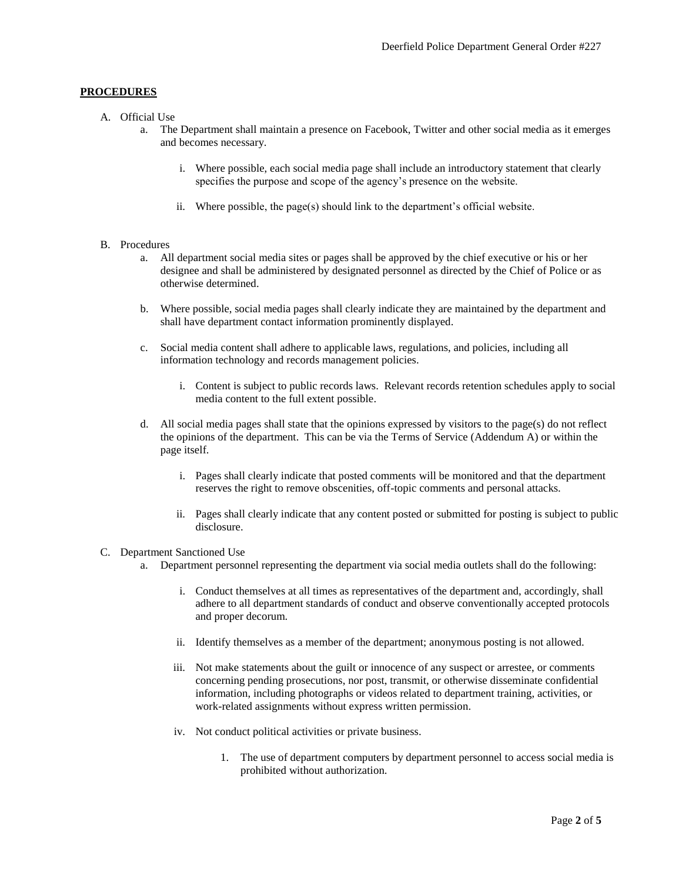# **PROCEDURES**

- A. Official Use
	- a. The Department shall maintain a presence on Facebook, Twitter and other social media as it emerges and becomes necessary.
		- i. Where possible, each social media page shall include an introductory statement that clearly specifies the purpose and scope of the agency's presence on the website.
		- ii. Where possible, the page(s) should link to the department's official website.

#### B. Procedures

- a. All department social media sites or pages shall be approved by the chief executive or his or her designee and shall be administered by designated personnel as directed by the Chief of Police or as otherwise determined.
- b. Where possible, social media pages shall clearly indicate they are maintained by the department and shall have department contact information prominently displayed.
- c. Social media content shall adhere to applicable laws, regulations, and policies, including all information technology and records management policies.
	- i. Content is subject to public records laws. Relevant records retention schedules apply to social media content to the full extent possible.
- d. All social media pages shall state that the opinions expressed by visitors to the page(s) do not reflect the opinions of the department. This can be via the Terms of Service (Addendum A) or within the page itself.
	- i. Pages shall clearly indicate that posted comments will be monitored and that the department reserves the right to remove obscenities, off-topic comments and personal attacks.
	- ii. Pages shall clearly indicate that any content posted or submitted for posting is subject to public disclosure.

#### C. Department Sanctioned Use

- a. Department personnel representing the department via social media outlets shall do the following:
	- i. Conduct themselves at all times as representatives of the department and, accordingly, shall adhere to all department standards of conduct and observe conventionally accepted protocols and proper decorum.
	- ii. Identify themselves as a member of the department; anonymous posting is not allowed.
	- iii. Not make statements about the guilt or innocence of any suspect or arrestee, or comments concerning pending prosecutions, nor post, transmit, or otherwise disseminate confidential information, including photographs or videos related to department training, activities, or work-related assignments without express written permission.
	- iv. Not conduct political activities or private business.
		- 1. The use of department computers by department personnel to access social media is prohibited without authorization.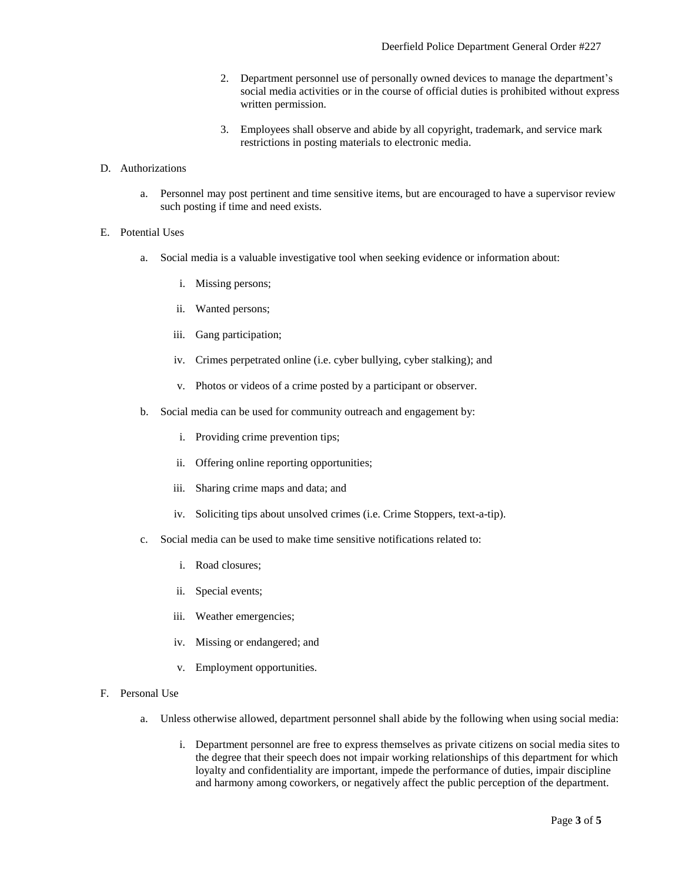- 2. Department personnel use of personally owned devices to manage the department's social media activities or in the course of official duties is prohibited without express written permission.
- 3. Employees shall observe and abide by all copyright, trademark, and service mark restrictions in posting materials to electronic media.

#### D. Authorizations

a. Personnel may post pertinent and time sensitive items, but are encouraged to have a supervisor review such posting if time and need exists.

#### E. Potential Uses

- a. Social media is a valuable investigative tool when seeking evidence or information about:
	- i. Missing persons;
	- ii. Wanted persons;
	- iii. Gang participation;
	- iv. Crimes perpetrated online (i.e. cyber bullying, cyber stalking); and
	- v. Photos or videos of a crime posted by a participant or observer.
- b. Social media can be used for community outreach and engagement by:
	- i. Providing crime prevention tips;
	- ii. Offering online reporting opportunities;
	- iii. Sharing crime maps and data; and
	- iv. Soliciting tips about unsolved crimes (i.e. Crime Stoppers, text-a-tip).
- c. Social media can be used to make time sensitive notifications related to:
	- i. Road closures;
	- ii. Special events;
	- iii. Weather emergencies;
	- iv. Missing or endangered; and
	- v. Employment opportunities.
- F. Personal Use
	- a. Unless otherwise allowed, department personnel shall abide by the following when using social media:
		- i. Department personnel are free to express themselves as private citizens on social media sites to the degree that their speech does not impair working relationships of this department for which loyalty and confidentiality are important, impede the performance of duties, impair discipline and harmony among coworkers, or negatively affect the public perception of the department.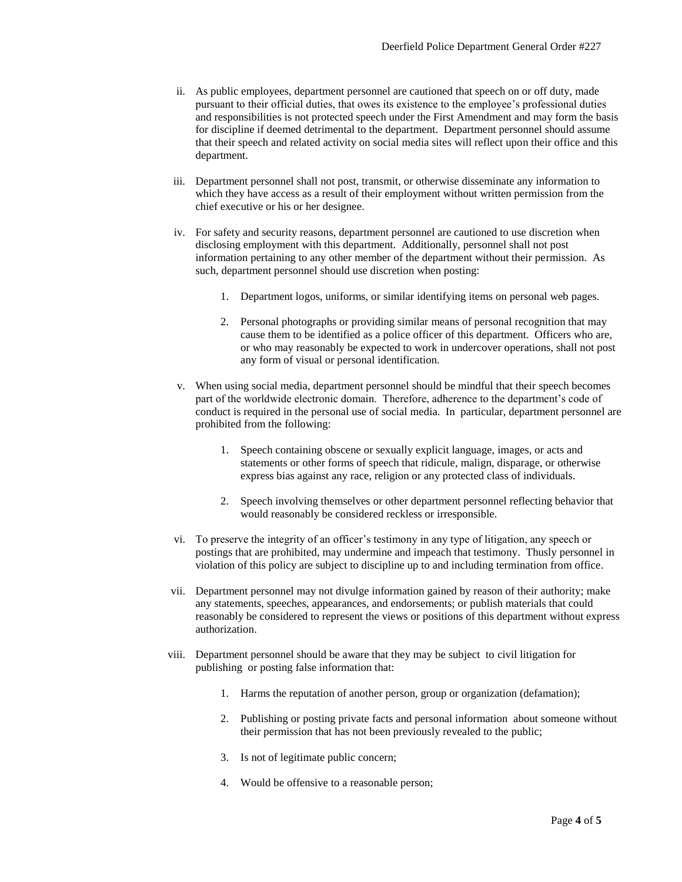- ii. As public employees, department personnel are cautioned that speech on or off duty, made pursuant to their official duties, that owes its existence to the employee's professional duties and responsibilities is not protected speech under the First Amendment and may form the basis for discipline if deemed detrimental to the department. Department personnel should assume that their speech and related activity on social media sites will reflect upon their office and this department.
- iii. Department personnel shall not post, transmit, or otherwise disseminate any information to which they have access as a result of their employment without written permission from the chief executive or his or her designee.
- iv. For safety and security reasons, department personnel are cautioned to use discretion when disclosing employment with this department. Additionally, personnel shall not post information pertaining to any other member of the department without their permission. As such, department personnel should use discretion when posting:
	- 1. Department logos, uniforms, or similar identifying items on personal web pages.
	- 2. Personal photographs or providing similar means of personal recognition that may cause them to be identified as a police officer of this department. Officers who are, or who may reasonably be expected to work in undercover operations, shall not post any form of visual or personal identification.
- v. When using social media, department personnel should be mindful that their speech becomes part of the worldwide electronic domain. Therefore, adherence to the department's code of conduct is required in the personal use of social media. In particular, department personnel are prohibited from the following:
	- 1. Speech containing obscene or sexually explicit language, images, or acts and statements or other forms of speech that ridicule, malign, disparage, or otherwise express bias against any race, religion or any protected class of individuals.
	- 2. Speech involving themselves or other department personnel reflecting behavior that would reasonably be considered reckless or irresponsible.
- vi. To preserve the integrity of an officer's testimony in any type of litigation, any speech or postings that are prohibited, may undermine and impeach that testimony. Thusly personnel in violation of this policy are subject to discipline up to and including termination from office.
- vii. Department personnel may not divulge information gained by reason of their authority; make any statements, speeches, appearances, and endorsements; or publish materials that could reasonably be considered to represent the views or positions of this department without express authorization.
- viii. Department personnel should be aware that they may be subject to civil litigation for publishing or posting false information that:
	- 1. Harms the reputation of another person, group or organization (defamation);
	- 2. Publishing or posting private facts and personal information about someone without their permission that has not been previously revealed to the public;
	- 3. Is not of legitimate public concern;
	- 4. Would be offensive to a reasonable person;